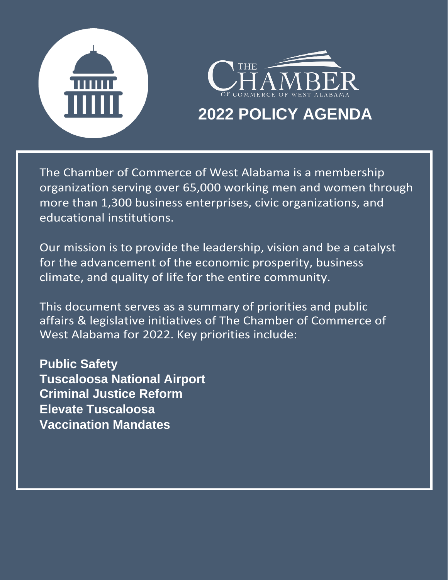



### **2022 POLICY AGENDA**

The Chamber of Commerce of West Alabama is a membership organization serving over 65,000 working men and women through more than 1,300 business enterprises, civic organizations, and educational institutions.

Our mission is to provide the leadership, vision and be a catalyst for the advancement of the economic prosperity, business climate, and quality of life for the entire community.

This document serves as a summary of priorities and public affairs & legislative initiatives of The Chamber of Commerce of West Alabama for 2022. Key priorities include:

**Public Safety Tuscaloosa National Airport Criminal Justice Reform Elevate Tuscaloosa Vaccination Mandates**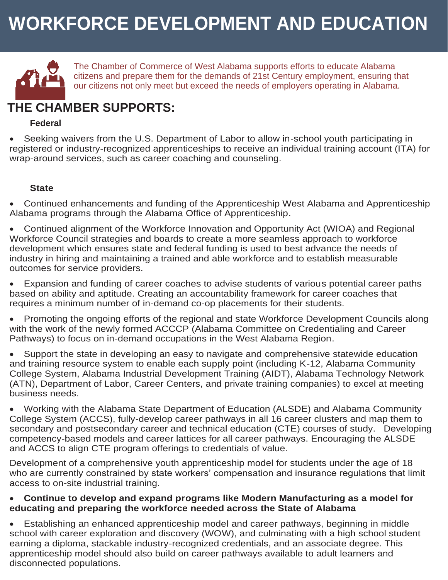# **WORKFORCE DEVELOPMENT AND EDUCATION**



The Chamber of Commerce of West Alabama supports efforts to educate Alabama citizens and prepare them for the demands of 21st Century employment, ensuring that our citizens not only meet but exceed the needs of employers operating in Alabama.

### **THE CHAMBER SUPPORTS:**

#### **Federal**

• Seeking waivers from the U.S. Department of Labor to allow in-school youth participating in registered or industry-recognized apprenticeships to receive an individual training account (ITA) for wrap-around services, such as career coaching and counseling.

#### **State**

• Continued enhancements and funding of the Apprenticeship West Alabama and Apprenticeship Alabama programs through the Alabama Office of Apprenticeship.

• Continued alignment of the Workforce Innovation and Opportunity Act (WIOA) and Regional Workforce Council strategies and boards to create a more seamless approach to workforce development which ensures state and federal funding is used to best advance the needs of industry in hiring and maintaining a trained and able workforce and to establish measurable outcomes for service providers.

• Expansion and funding of career coaches to advise students of various potential career paths based on ability and aptitude. Creating an accountability framework for career coaches that requires a minimum number of in-demand co-op placements for their students.

• Promoting the ongoing efforts of the regional and state Workforce Development Councils along with the work of the newly formed ACCCP (Alabama Committee on Credentialing and Career Pathways) to focus on in-demand occupations in the West Alabama Region.

• Support the state in developing an easy to navigate and comprehensive statewide education and training resource system to enable each supply point (including K-12, Alabama Community College System, Alabama Industrial Development Training (AIDT), Alabama Technology Network (ATN), Department of Labor, Career Centers, and private training companies) to excel at meeting business needs.

• Working with the Alabama State Department of Education (ALSDE) and Alabama Community College System (ACCS), fully-develop career pathways in all 16 career clusters and map them to secondary and postsecondary career and technical education (CTE) courses of study. Developing competency-based models and career lattices for all career pathways. Encouraging the ALSDE and ACCS to align CTE program offerings to credentials of value.

Development of a comprehensive youth apprenticeship model for students under the age of 18 who are currently constrained by state workers' compensation and insurance regulations that limit access to on-site industrial training.

#### • **Continue to develop and expand programs like Modern Manufacturing as a model for educating and preparing the workforce needed across the State of Alabama**

• Establishing an enhanced apprenticeship model and career pathways, beginning in middle school with career exploration and discovery (WOW), and culminating with a high school student earning a diploma, stackable industry-recognized credentials, and an associate degree. This apprenticeship model should also build on career pathways available to adult learners and disconnected populations.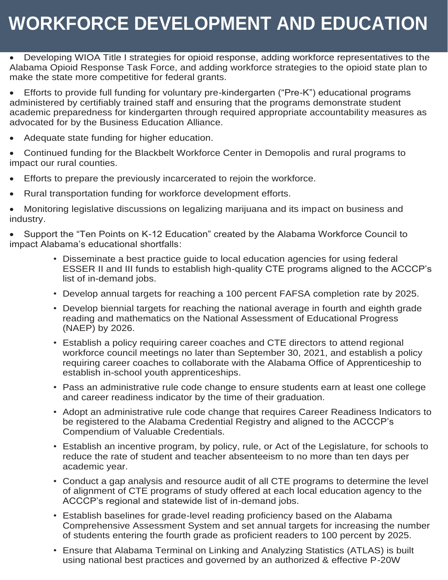# **WORKFORCE DEVELOPMENT AND EDUCATION**

• Developing WIOA Title I strategies for opioid response, adding workforce representatives to the Alabama Opioid Response Task Force, and adding workforce strategies to the opioid state plan to make the state more competitive for federal grants.

• Efforts to provide full funding for voluntary pre-kindergarten ("Pre-K") educational programs administered by certifiably trained staff and ensuring that the programs demonstrate student academic preparedness for kindergarten through required appropriate accountability measures as advocated for by the Business Education Alliance.

• Adequate state funding for higher education.

• Continued funding for the Blackbelt Workforce Center in Demopolis and rural programs to impact our rural counties.

- Efforts to prepare the previously incarcerated to rejoin the workforce.
- Rural transportation funding for workforce development efforts.

• Monitoring legislative discussions on legalizing marijuana and its impact on business and industry.

• Support the "Ten Points on K-12 Education" created by the Alabama Workforce Council to impact Alabama's educational shortfalls:

- Disseminate a best practice guide to local education agencies for using federal ESSER II and III funds to establish high-quality CTE programs aligned to the ACCCP's list of in-demand jobs.
- Develop annual targets for reaching a 100 percent FAFSA completion rate by 2025.
- Develop biennial targets for reaching the national average in fourth and eighth grade reading and mathematics on the National Assessment of Educational Progress (NAEP) by 2026.
- Establish a policy requiring career coaches and CTE directors to attend regional workforce council meetings no later than September 30, 2021, and establish a policy requiring career coaches to collaborate with the Alabama Office of Apprenticeship to establish in-school youth apprenticeships.
- Pass an administrative rule code change to ensure students earn at least one college and career readiness indicator by the time of their graduation.
- Adopt an administrative rule code change that requires Career Readiness Indicators to be registered to the Alabama Credential Registry and aligned to the ACCCP's Compendium of Valuable Credentials.
- Establish an incentive program, by policy, rule, or Act of the Legislature, for schools to reduce the rate of student and teacher absenteeism to no more than ten days per academic year.
- Conduct a gap analysis and resource audit of all CTE programs to determine the level of alignment of CTE programs of study offered at each local education agency to the ACCCP's regional and statewide list of in-demand jobs.
- Establish baselines for grade-level reading proficiency based on the Alabama Comprehensive Assessment System and set annual targets for increasing the number of students entering the fourth grade as proficient readers to 100 percent by 2025.
- Ensure that Alabama Terminal on Linking and Analyzing Statistics (ATLAS) is built using national best practices and governed by an authorized & effective P-20W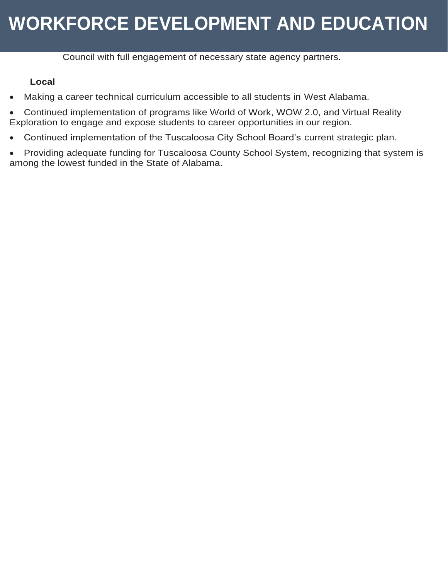## **WORKFORCE DEVELOPMENT AND EDUCATION**

Council with full engagement of necessary state agency partners.

#### **Local**

- Making a career technical curriculum accessible to all students in West Alabama.
- Continued implementation of programs like World of Work, WOW 2.0, and Virtual Reality Exploration to engage and expose students to career opportunities in our region.
- Continued implementation of the Tuscaloosa City School Board's current strategic plan.
- Providing adequate funding for Tuscaloosa County School System, recognizing that system is among the lowest funded in the State of Alabama.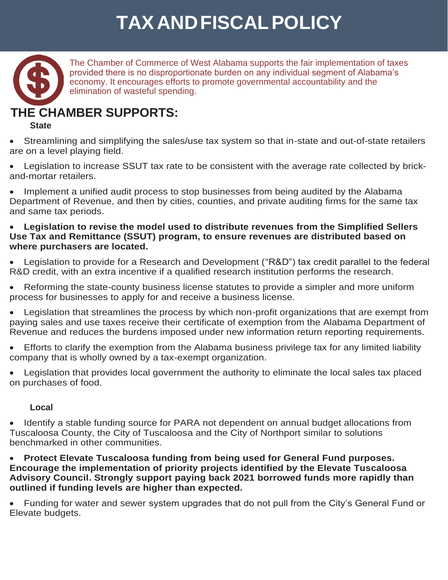# **TAXANDFISCALPOLICY**



The Chamber of Commerce of West Alabama supports the fair implementation of taxes provided there is no disproportionate burden on any individual segment of Alabama's economy. It encourages efforts to promote governmental accountability and the elimination of wasteful spending.

### **THE CHAMBER SUPPORTS:**

#### **State**

• Streamlining and simplifying the sales/use tax system so that in-state and out-of-state retailers are on a level playing field.

• Legislation to increase SSUT tax rate to be consistent with the average rate collected by brickand-mortar retailers.

• Implement a unified audit process to stop businesses from being audited by the Alabama Department of Revenue, and then by cities, counties, and private auditing firms for the same tax and same tax periods.

#### • **Legislation to revise the model used to distribute revenues from the Simplified Sellers Use Tax and Remittance (SSUT) program, to ensure revenues are distributed based on where purchasers are located.**

• Legislation to provide for a Research and Development ("R&D") tax credit parallel to the federal R&D credit, with an extra incentive if a qualified research institution performs the research.

• Reforming the state-county business license statutes to provide a simpler and more uniform process for businesses to apply for and receive a business license.

• Legislation that streamlines the process by which non-profit organizations that are exempt from paying sales and use taxes receive their certificate of exemption from the Alabama Department of Revenue and reduces the burdens imposed under new information return reporting requirements.

• Efforts to clarify the exemption from the Alabama business privilege tax for any limited liability company that is wholly owned by a tax-exempt organization.

• Legislation that provides local government the authority to eliminate the local sales tax placed on purchases of food.

#### **Local**

• Identify a stable funding source for PARA not dependent on annual budget allocations from Tuscaloosa County, the City of Tuscaloosa and the City of Northport similar to solutions benchmarked in other communities.

• **Protect Elevate Tuscaloosa funding from being used for General Fund purposes. Encourage the implementation of priority projects identified by the Elevate Tuscaloosa Advisory Council. Strongly support paying back 2021 borrowed funds more rapidly than outlined if funding levels are higher than expected.**

• Funding for water and sewer system upgrades that do not pull from the City's General Fund or Elevate budgets.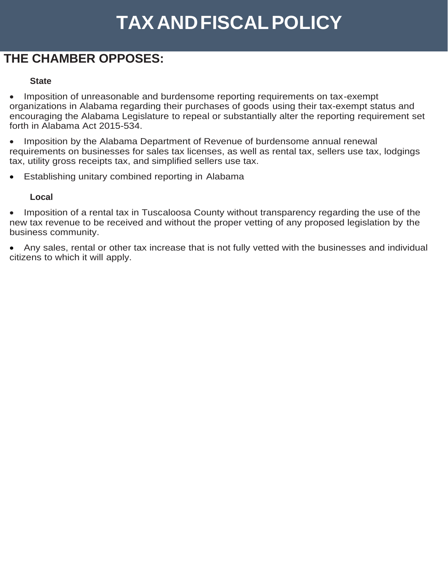# **TAXANDFISCALPOLICY**

### **THE CHAMBER OPPOSES:**

#### **State**

Imposition of unreasonable and burdensome reporting requirements on tax-exempt organizations in Alabama regarding their purchases of goods using their tax-exempt status and encouraging the Alabama Legislature to repeal or substantially alter the reporting requirement set forth in Alabama Act 2015-534.

• Imposition by the Alabama Department of Revenue of burdensome annual renewal requirements on businesses for sales tax licenses, as well as rental tax, sellers use tax, lodgings tax, utility gross receipts tax, and simplified sellers use tax.

• Establishing unitary combined reporting in Alabama

#### **Local**

• Imposition of a rental tax in Tuscaloosa County without transparency regarding the use of the new tax revenue to be received and without the proper vetting of any proposed legislation by the business community.

• Any sales, rental or other tax increase that is not fully vetted with the businesses and individual citizens to which it will apply.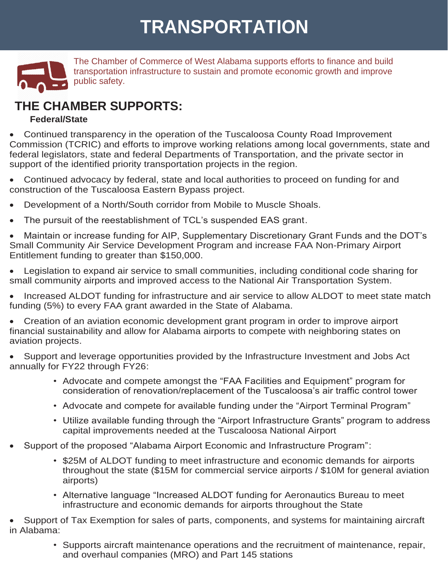# **TRANSPORTATION**



The Chamber of Commerce of West Alabama supports efforts to finance and build transportation infrastructure to sustain and promote economic growth and improve public safety.

### **THE CHAMBER SUPPORTS:**

#### **Federal/State**

• Continued transparency in the operation of the Tuscaloosa County Road Improvement Commission (TCRIC) and efforts to improve working relations among local governments, state and federal legislators, state and federal Departments of Transportation, and the private sector in support of the identified priority transportation projects in the region.

• Continued advocacy by federal, state and local authorities to proceed on funding for and construction of the Tuscaloosa Eastern Bypass project.

- Development of a North/South corridor from Mobile to Muscle Shoals.
- The pursuit of the reestablishment of TCL's suspended EAS grant.

• Maintain or increase funding for AIP, Supplementary Discretionary Grant Funds and the DOT's Small Community Air Service Development Program and increase FAA Non-Primary Airport Entitlement funding to greater than \$150,000.

• Legislation to expand air service to small communities, including conditional code sharing for small community airports and improved access to the National Air Transportation System.

• Increased ALDOT funding for infrastructure and air service to allow ALDOT to meet state match funding (5%) to every FAA grant awarded in the State of Alabama.

• Creation of an aviation economic development grant program in order to improve airport financial sustainability and allow for Alabama airports to compete with neighboring states on aviation projects.

• Support and leverage opportunities provided by the Infrastructure Investment and Jobs Act annually for FY22 through FY26:

- Advocate and compete amongst the "FAA Facilities and Equipment" program for consideration of renovation/replacement of the Tuscaloosa's air traffic control tower
- Advocate and compete for available funding under the "Airport Terminal Program"
- Utilize available funding through the "Airport Infrastructure Grants" program to address capital improvements needed at the Tuscaloosa National Airport
- Support of the proposed "Alabama Airport Economic and Infrastructure Program":
	- \$25M of ALDOT funding to meet infrastructure and economic demands for airports throughout the state (\$15M for commercial service airports / \$10M for general aviation airports)
	- Alternative language "Increased ALDOT funding for Aeronautics Bureau to meet infrastructure and economic demands for airports throughout the State

• Support of Tax Exemption for sales of parts, components, and systems for maintaining aircraft in Alabama:

> • Supports aircraft maintenance operations and the recruitment of maintenance, repair, and overhaul companies (MRO) and Part 145 stations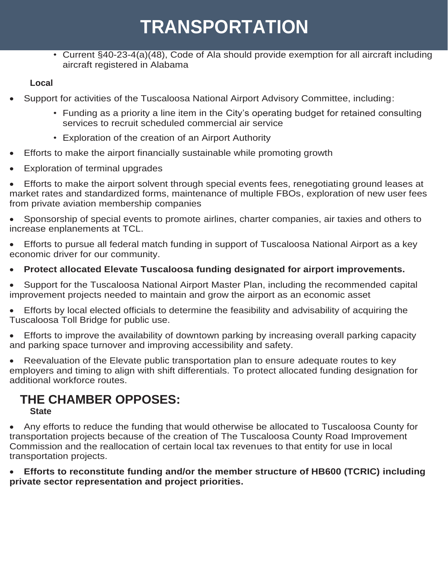## **TRANSPORTATION**

• Current §40-23-4(a)(48), Code of Ala should provide exemption for all aircraft including aircraft registered in Alabama

**Local**

- Support for activities of the Tuscaloosa National Airport Advisory Committee, including:
	- Funding as a priority a line item in the City's operating budget for retained consulting services to recruit scheduled commercial air service
	- Exploration of the creation of an Airport Authority
- Efforts to make the airport financially sustainable while promoting growth
- Exploration of terminal upgrades

• Efforts to make the airport solvent through special events fees, renegotiating ground leases at market rates and standardized forms, maintenance of multiple FBOs, exploration of new user fees from private aviation membership companies

• Sponsorship of special events to promote airlines, charter companies, air taxies and others to increase enplanements at TCL.

• Efforts to pursue all federal match funding in support of Tuscaloosa National Airport as a key economic driver for our community.

• **Protect allocated Elevate Tuscaloosa funding designated for airport improvements.**

• Support for the Tuscaloosa National Airport Master Plan, including the recommended capital improvement projects needed to maintain and grow the airport as an economic asset

• Efforts by local elected officials to determine the feasibility and advisability of acquiring the Tuscaloosa Toll Bridge for public use.

• Efforts to improve the availability of downtown parking by increasing overall parking capacity and parking space turnover and improving accessibility and safety.

• Reevaluation of the Elevate public transportation plan to ensure adequate routes to key employers and timing to align with shift differentials. To protect allocated funding designation for additional workforce routes.

#### **THE CHAMBER OPPOSES: State**

• Any efforts to reduce the funding that would otherwise be allocated to Tuscaloosa County for transportation projects because of the creation of The Tuscaloosa County Road Improvement Commission and the reallocation of certain local tax revenues to that entity for use in local transportation projects.

• **Efforts to reconstitute funding and/or the member structure of HB600 (TCRIC) including private sector representation and project priorities.**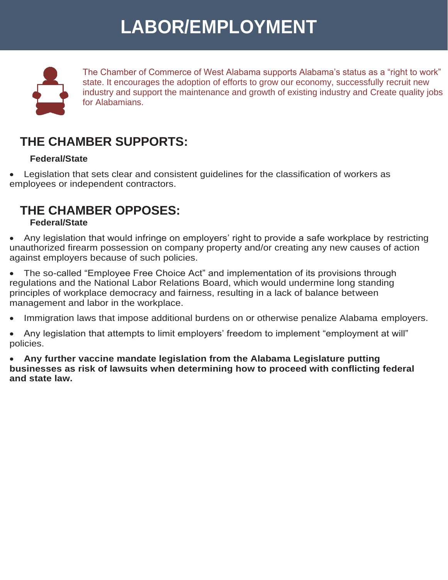# **LABOR/EMPLOYMENT**



The Chamber of Commerce of West Alabama supports Alabama's status as a "right to work" state. It encourages the adoption of efforts to grow our economy, successfully recruit new industry and support the maintenance and growth of existing industry and Create quality jobs for Alabamians.

### **THE CHAMBER SUPPORTS:**

#### **Federal/State**

• Legislation that sets clear and consistent guidelines for the classification of workers as employees or independent contractors.

### **THE CHAMBER OPPOSES: Federal/State**

• Any legislation that would infringe on employers' right to provide a safe workplace by restricting unauthorized firearm possession on company property and/or creating any new causes of action against employers because of such policies.

• The so-called "Employee Free Choice Act" and implementation of its provisions through regulations and the National Labor Relations Board, which would undermine long standing principles of workplace democracy and fairness, resulting in a lack of balance between management and labor in the workplace.

• Immigration laws that impose additional burdens on or otherwise penalize Alabama employers.

• Any legislation that attempts to limit employers' freedom to implement "employment at will" policies.

• **Any further vaccine mandate legislation from the Alabama Legislature putting businesses as risk of lawsuits when determining how to proceed with conflicting federal and state law.**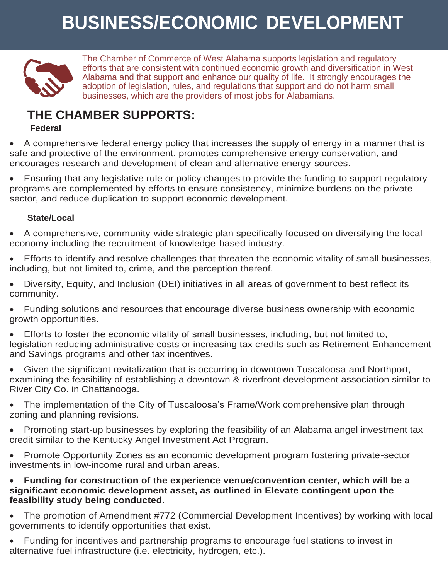# **BUSINESS/ECONOMIC DEVELOPMENT**



The Chamber of Commerce of West Alabama supports legislation and regulatory efforts that are consistent with continued economic growth and diversification in West Alabama and that support and enhance our quality of life. It strongly encourages the adoption of legislation, rules, and regulations that support and do not harm small businesses, which are the providers of most jobs for Alabamians.

### **THE CHAMBER SUPPORTS:**

#### **Federal**

• A comprehensive federal energy policy that increases the supply of energy in a manner that is safe and protective of the environment, promotes comprehensive energy conservation, and encourages research and development of clean and alternative energy sources.

• Ensuring that any legislative rule or policy changes to provide the funding to support regulatory programs are complemented by efforts to ensure consistency, minimize burdens on the private sector, and reduce duplication to support economic development.

#### **State/Local**

• A comprehensive, community-wide strategic plan specifically focused on diversifying the local economy including the recruitment of knowledge-based industry.

• Efforts to identify and resolve challenges that threaten the economic vitality of small businesses, including, but not limited to, crime, and the perception thereof.

• Diversity, Equity, and Inclusion (DEI) initiatives in all areas of government to best reflect its community.

• Funding solutions and resources that encourage diverse business ownership with economic growth opportunities.

• Efforts to foster the economic vitality of small businesses, including, but not limited to, legislation reducing administrative costs or increasing tax credits such as Retirement Enhancement and Savings programs and other tax incentives.

• Given the significant revitalization that is occurring in downtown Tuscaloosa and Northport, examining the feasibility of establishing a downtown & riverfront development association similar to River City Co. in Chattanooga.

• The implementation of the City of Tuscaloosa's Frame/Work comprehensive plan through zoning and planning revisions.

• Promoting start-up businesses by exploring the feasibility of an Alabama angel investment tax credit similar to the Kentucky Angel Investment Act Program.

• Promote Opportunity Zones as an economic development program fostering private-sector investments in low-income rural and urban areas.

#### • **Funding for construction of the experience venue/convention center, which will be a significant economic development asset, as outlined in Elevate contingent upon the feasibility study being conducted.**

• The promotion of Amendment #772 (Commercial Development Incentives) by working with local governments to identify opportunities that exist.

• Funding for incentives and partnership programs to encourage fuel stations to invest in alternative fuel infrastructure (i.e. electricity, hydrogen, etc.).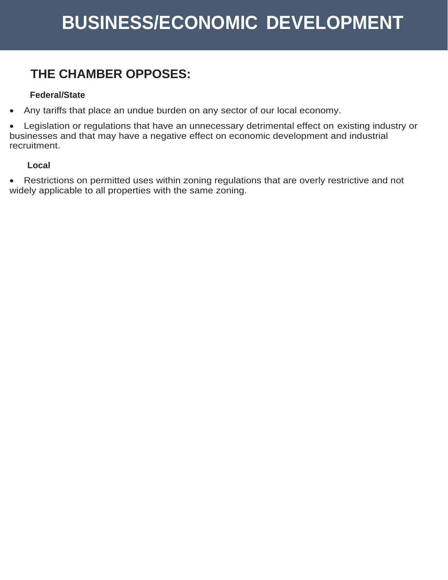### **THE CHAMBER OPPOSES:**

#### **Federal/State**

• Any tariffs that place an undue burden on any sector of our local economy.

• Legislation or regulations that have an unnecessary detrimental effect on existing industry or businesses and that may have a negative effect on economic development and industrial recruitment.

#### **Local**

• Restrictions on permitted uses within zoning regulations that are overly restrictive and not widely applicable to all properties with the same zoning.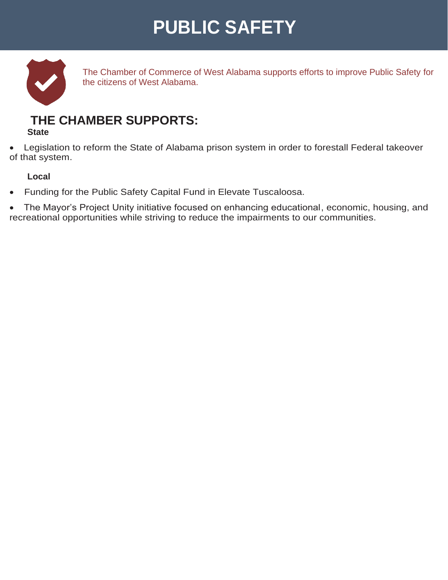## **PUBLIC SAFETY**



The Chamber of Commerce of West Alabama supports efforts to improve Public Safety for the citizens of West Alabama.

### **THE CHAMBER SUPPORTS:**

#### **State**

• Legislation to reform the State of Alabama prison system in order to forestall Federal takeover of that system.

#### **Local**

- Funding for the Public Safety Capital Fund in Elevate Tuscaloosa.
- The Mayor's Project Unity initiative focused on enhancing educational, economic, housing, and recreational opportunities while striving to reduce the impairments to our communities.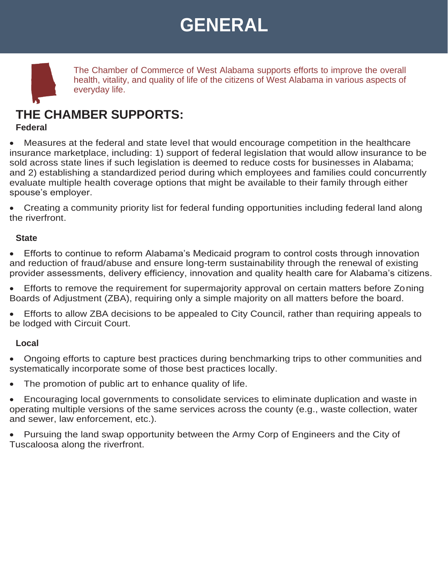## **GENERAL**

The Chamber of Commerce of West Alabama supports efforts to improve the overall health, vitality, and quality of life of the citizens of West Alabama in various aspects of everyday life.

### **THE CHAMBER SUPPORTS:**

#### **Federal**

• Measures at the federal and state level that would encourage competition in the healthcare insurance marketplace, including: 1) support of federal legislation that would allow insurance to be sold across state lines if such legislation is deemed to reduce costs for businesses in Alabama; and 2) establishing a standardized period during which employees and families could concurrently evaluate multiple health coverage options that might be available to their family through either spouse's employer.

• Creating a community priority list for federal funding opportunities including federal land along the riverfront.

#### **State**

• Efforts to continue to reform Alabama's Medicaid program to control costs through innovation and reduction of fraud/abuse and ensure long-term sustainability through the renewal of existing provider assessments, delivery efficiency, innovation and quality health care for Alabama's citizens.

• Efforts to remove the requirement for supermajority approval on certain matters before Zoning Boards of Adjustment (ZBA), requiring only a simple majority on all matters before the board.

• Efforts to allow ZBA decisions to be appealed to City Council, rather than requiring appeals to be lodged with Circuit Court.

#### **Local**

• Ongoing efforts to capture best practices during benchmarking trips to other communities and systematically incorporate some of those best practices locally.

The promotion of public art to enhance quality of life.

• Encouraging local governments to consolidate services to eliminate duplication and waste in operating multiple versions of the same services across the county (e.g., waste collection, water and sewer, law enforcement, etc.).

• Pursuing the land swap opportunity between the Army Corp of Engineers and the City of Tuscaloosa along the riverfront.